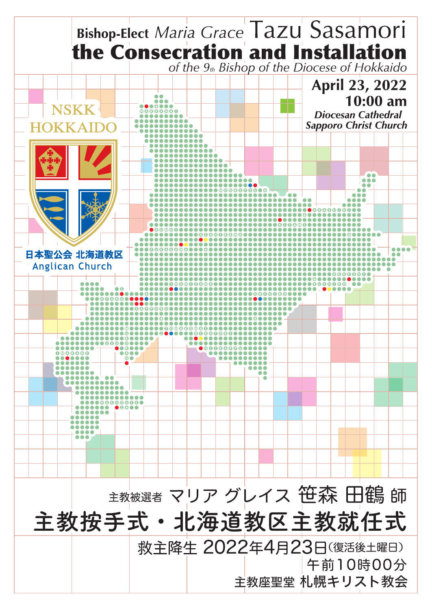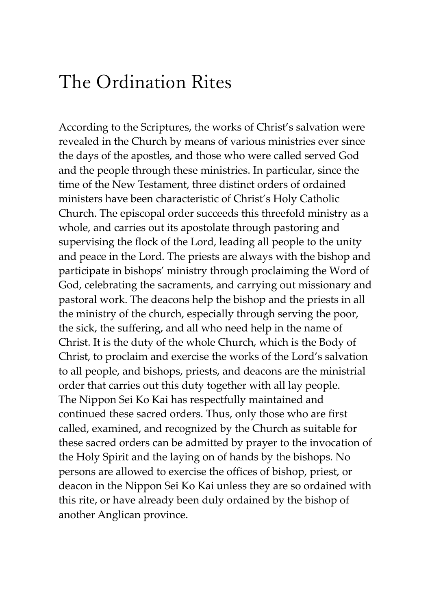# The Ordination Rites

According to the Scriptures, the works of Christ's salvation were revealed in the Church by means of various ministries ever since the days of the apostles, and those who were called served God and the people through these ministries. In particular, since the time of the New Testament, three distinct orders of ordained ministers have been characteristic of Christ's Holy Catholic Church. The episcopal order succeeds this threefold ministry as a whole, and carries out its apostolate through pastoring and supervising the flock of the Lord, leading all people to the unity and peace in the Lord. The priests are always with the bishop and participate in bishops' ministry through proclaiming the Word of God, celebrating the sacraments, and carrying out missionary and pastoral work. The deacons help the bishop and the priests in all the ministry of the church, especially through serving the poor, the sick, the suffering, and all who need help in the name of Christ. It is the duty of the whole Church, which is the Body of Christ, to proclaim and exercise the works of the Lord's salvation to all people, and bishops, priests, and deacons are the ministrial order that carries out this duty together with all lay people. The Nippon Sei Ko Kai has respectfully maintained and continued these sacred orders. Thus, only those who are first called, examined, and recognized by the Church as suitable for these sacred orders can be admitted by prayer to the invocation of the Holy Spirit and the laying on of hands by the bishops. No persons are allowed to exercise the offices of bishop, priest, or deacon in the Nippon Sei Ko Kai unless they are so ordained with this rite, or have already been duly ordained by the bishop of another Anglican province.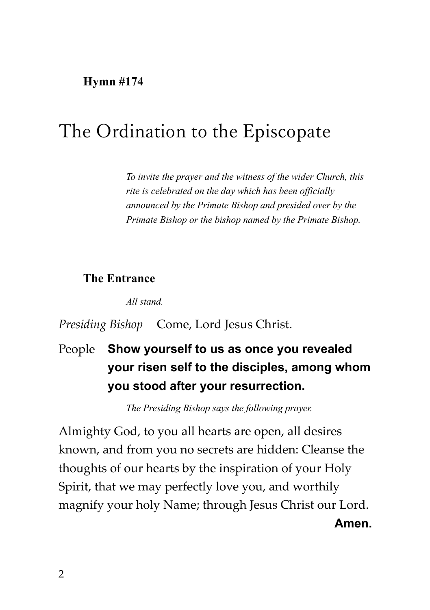**Hymn #174**

# The Ordination to the Episcopate

*To invite the prayer and the witness of the wider Church, this rite is celebrated on the day which has been officially announced by the Primate Bishop and presided over by the Primate Bishop or the bishop named by the Primate Bishop.*

#### **The Entrance**

*All stand.*

#### *Presiding Bishop* Come, Lord Jesus Christ.

# People **Show yourself to us as once you revealed your risen self to the disciples, among whom you stood after your resurrection.**

*The Presiding Bishop says the following prayer.*

Almighty God, to you all hearts are open, all desires known, and from you no secrets are hidden: Cleanse the thoughts of our hearts by the inspiration of your Holy Spirit, that we may perfectly love you, and worthily magnify your holy Name; through Jesus Christ our Lord. **Amen.**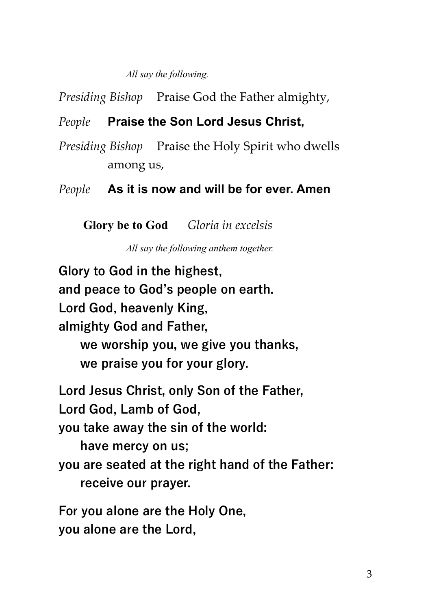*All say the following.*

*Presiding Bishop* Praise God the Father almighty,

### *People* **Praise the Son Lord Jesus Christ,**

*Presiding Bishop* Praise the Holy Spirit who dwells among us,

*People* **As it is now and will be for ever. Amen**

**Glory be to God** *Gloria in excelsis*

*All say the following anthem together.*

**Glory to God in the highest, and peace to God's people on earth. Lord God, heavenly King, almighty God and Father, we worship you, we give you thanks, we praise you for your glory. Lord Jesus Christ, only Son of the Father, Lord God, Lamb of God, you take away the sin of the world: have mercy on us; you are seated at the right hand of the Father: receive our prayer. For you alone are the Holy One,**

**you alone are the Lord,**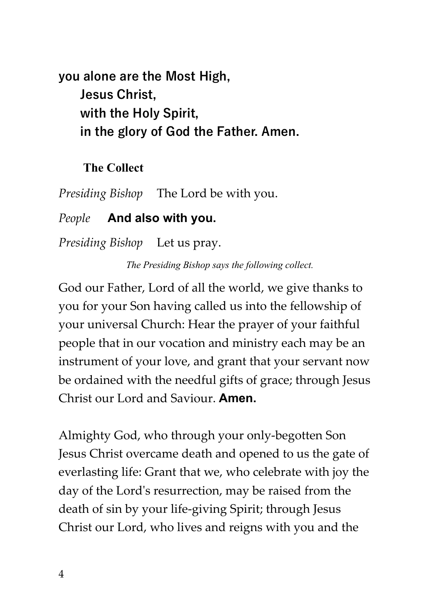**you alone are the Most High, Jesus Christ, with the Holy Spirit, in the glory of God the Father. Amen.**

#### **The Collect**

*Presiding Bishop* The Lord be with you.

#### *People* **And also with you.**

*Presiding Bishop* Let us pray.

*The Presiding Bishop says the following collect.*

God our Father, Lord of all the world, we give thanks to you for your Son having called us into the fellowship of your universal Church: Hear the prayer of your faithful people that in our vocation and ministry each may be an instrument of your love, and grant that your servant now be ordained with the needful gifts of grace; through Jesus Christ our Lord and Saviour. **Amen.**

Almighty God, who through your only-begotten Son Jesus Christ overcame death and opened to us the gate of everlasting life: Grant that we, who celebrate with joy the day of the Lord's resurrection, may be raised from the death of sin by your life-giving Spirit; through Jesus Christ our Lord, who lives and reigns with you and the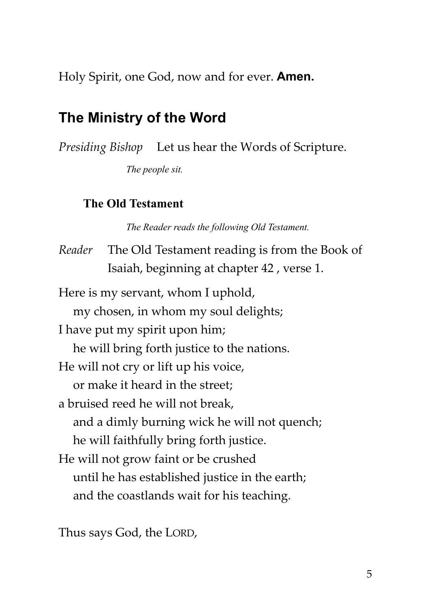Holy Spirit, one God, now and for ever. **Amen.**

# **The Ministry of the Word**

*Presiding Bishop* Let us hear the Words of Scripture.

*The people sit.*

#### **The Old Testament**

*The Reader reads the following Old Testament.*

*Reader* The Old Testament reading is from the Book of Isaiah, beginning at chapter 42 , verse 1. Here is my servant, whom I uphold, my chosen, in whom my soul delights; I have put my spirit upon him; he will bring forth justice to the nations. He will not cry or lift up his voice, or make it heard in the street; a bruised reed he will not break, and a dimly burning wick he will not quench; he will faithfully bring forth justice. He will not grow faint or be crushed until he has established justice in the earth; and the coastlands wait for his teaching.

Thus says God, the LORD,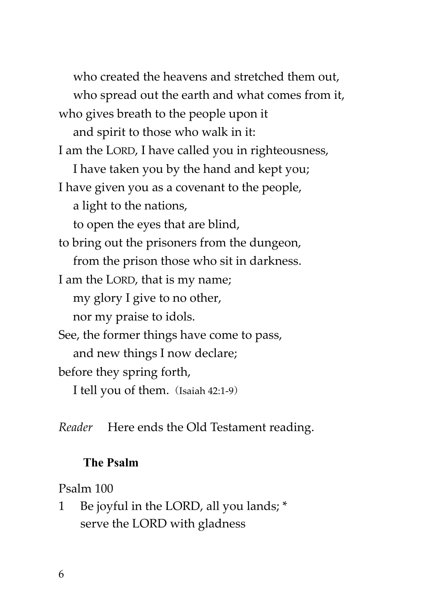who created the heavens and stretched them out, who spread out the earth and what comes from it, who gives breath to the people upon it and spirit to those who walk in it: I am the LORD, I have called you in righteousness, I have taken you by the hand and kept you; I have given you as a covenant to the people, a light to the nations, to open the eyes that are blind, to bring out the prisoners from the dungeon, from the prison those who sit in darkness. I am the LORD, that is my name; my glory I give to no other, nor my praise to idols. See, the former things have come to pass, and new things I now declare; before they spring forth, I tell you of them. (Isaiah 42:1-9)

*Reader* Here ends the Old Testament reading.

# **The Psalm**

# Psalm 100

1 Be joyful in the LORD, all you lands; \* serve the LORD with gladness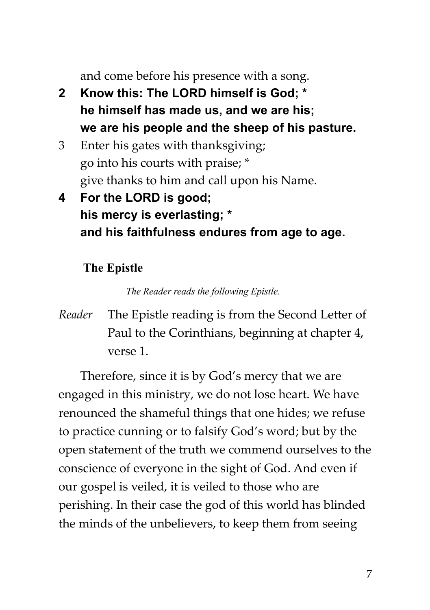and come before his presence with a song.

- **2 Know this: The LORD himself is God; \* he himself has made us, and we are his; we are his people and the sheep of his pasture.**
- 3 Enter his gates with thanksgiving; go into his courts with praise; \* give thanks to him and call upon his Name.
- **4 For the LORD is good; his mercy is everlasting; \* and his faithfulness endures from age to age.**

# **The Epistle**

*The Reader reads the following Epistle.*

*Reader* The Epistle reading is from the Second Letter of Paul to the Corinthians, beginning at chapter 4, verse 1.

Therefore, since it is by God's mercy that we are engaged in this ministry, we do not lose heart. We have renounced the shameful things that one hides; we refuse to practice cunning or to falsify God's word; but by the open statement of the truth we commend ourselves to the conscience of everyone in the sight of God. And even if our gospel is veiled, it is veiled to those who are perishing. In their case the god of this world has blinded the minds of the unbelievers, to keep them from seeing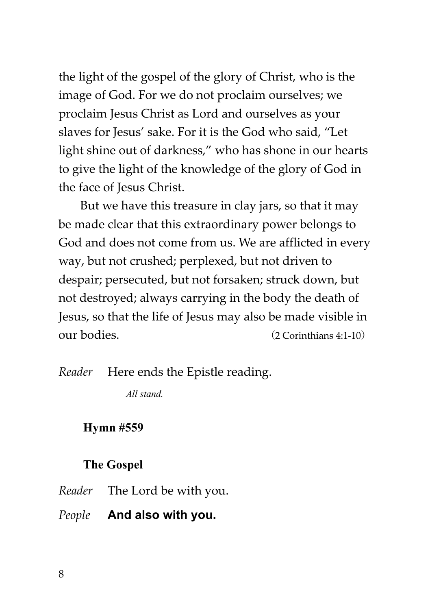the light of the gospel of the glory of Christ, who is the image of God. For we do not proclaim ourselves; we proclaim Jesus Christ as Lord and ourselves as your slaves for Jesus' sake. For it is the God who said, "Let light shine out of darkness," who has shone in our hearts to give the light of the knowledge of the glory of God in the face of Jesus Christ.

But we have this treasure in clay jars, so that it may be made clear that this extraordinary power belongs to God and does not come from us. We are afflicted in every way, but not crushed; perplexed, but not driven to despair; persecuted, but not forsaken; struck down, but not destroyed; always carrying in the body the death of Jesus, so that the life of Jesus may also be made visible in our bodies. (2 Corinthians 4:1-10)

*Reader* Here ends the Epistle reading.

*All stand.*

#### **Hymn #559**

#### **The Gospel**

*Reader* The Lord be with you.

*People* **And also with you.**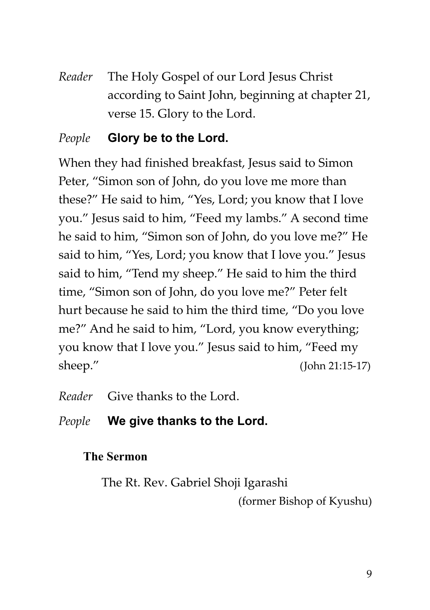*Reader* The Holy Gospel of our Lord Jesus Christ according to Saint John, beginning at chapter 21, verse 15. Glory to the Lord.

# *People* **Glory be to the Lord.**

When they had finished breakfast, Jesus said to Simon Peter, "Simon son of John, do you love me more than these?" He said to him, "Yes, Lord; you know that I love you." Jesus said to him, "Feed my lambs." A second time he said to him, "Simon son of John, do you love me?" He said to him, "Yes, Lord; you know that I love you." Jesus said to him, "Tend my sheep." He said to him the third time, "Simon son of John, do you love me?" Peter felt hurt because he said to him the third time, "Do you love me?" And he said to him, "Lord, you know everything; you know that I love you." Jesus said to him, "Feed my sheep." (John 21:15-17)

*Reader* Give thanks to the Lord.

# *People* **We give thanks to the Lord.**

# **The Sermon**

The Rt. Rev. Gabriel Shoji Igarashi

(former Bishop of Kyushu)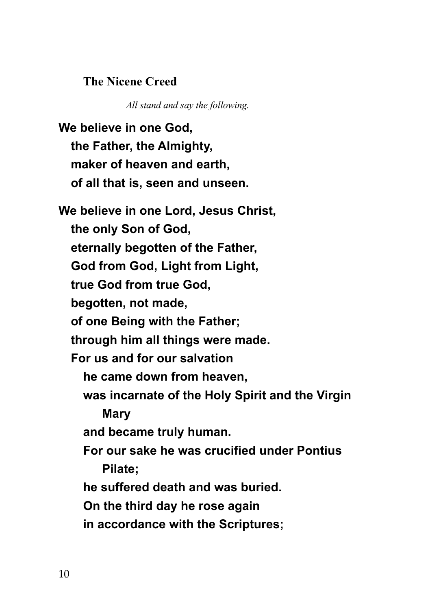#### **The Nicene Creed**

*All stand and say the following.*

**We believe in one God, the Father, the Almighty, maker of heaven and earth, of all that is, seen and unseen. We believe in one Lord, Jesus Christ, the only Son of God, eternally begotten of the Father, God from God, Light from Light, true God from true God, begotten, not made, of one Being with the Father; through him all things were made. For us and for our salvation he came down from heaven, was incarnate of the Holy Spirit and the Virgin Mary and became truly human. For our sake he was crucified under Pontius Pilate; he suffered death and was buried. On the third day he rose again in accordance with the Scriptures;**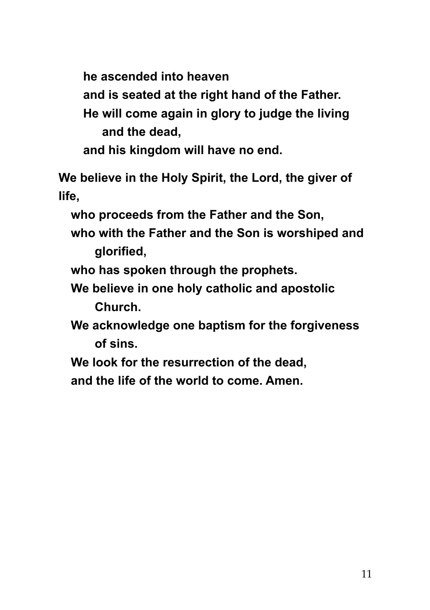**he ascended into heaven**

**and is seated at the right hand of the Father.**

**He will come again in glory to judge the living and the dead,**

**and his kingdom will have no end.**

**We believe in the Holy Spirit, the Lord, the giver of life,**

**who proceeds from the Father and the Son,**

**who with the Father and the Son is worshiped and glorified,**

**who has spoken through the prophets.**

**We believe in one holy catholic and apostolic Church.**

**We acknowledge one baptism for the forgiveness of sins.**

**We look for the resurrection of the dead,**

**and the life of the world to come. Amen.**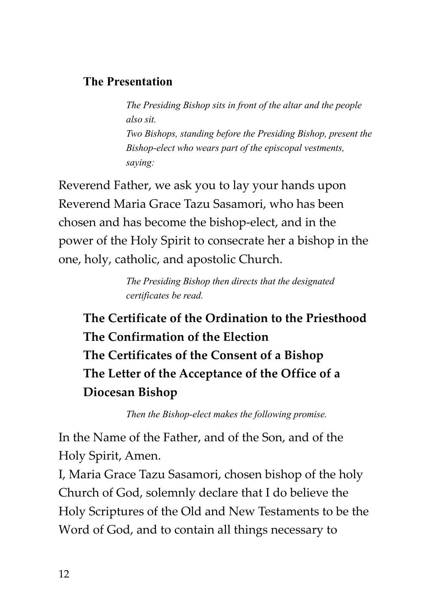### **The Presentation**

*The Presiding Bishop sits in front of the altar and the people also sit. Two Bishops, standing before the Presiding Bishop, present the Bishop-elect who wears part of the episcopal vestments, saying:*

Reverend Father, we ask you to lay your hands upon Reverend Maria Grace Tazu Sasamori, who has been chosen and has become the bishop-elect, and in the power of the Holy Spirit to consecrate her a bishop in the one, holy, catholic, and apostolic Church.

> *The Presiding Bishop then directs that the designated certificates be read.*

**The Certificate of the Ordination to the Priesthood The Confirmation of the Election The Certificates of the Consent of a Bishop The Letter of the Acceptance of the Office of a Diocesan Bishop**

*Then the Bishop-elect makes the following promise.*

In the Name of the Father, and of the Son, and of the Holy Spirit, Amen.

I, Maria Grace Tazu Sasamori, chosen bishop of the holy Church of God, solemnly declare that I do believe the Holy Scriptures of the Old and New Testaments to be the Word of God, and to contain all things necessary to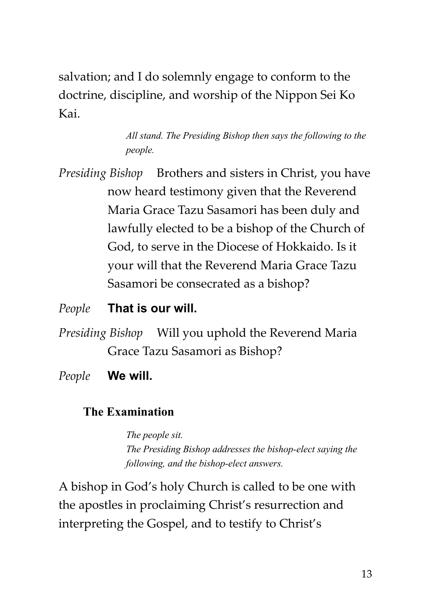salvation; and I do solemnly engage to conform to the doctrine, discipline, and worship of the Nippon Sei Ko Kai.

> *All stand. The Presiding Bishop then says the following to the people.*

*Presiding Bishop* Brothers and sisters in Christ, you have now heard testimony given that the Reverend Maria Grace Tazu Sasamori has been duly and lawfully elected to be a bishop of the Church of God, to serve in the Diocese of Hokkaido. Is it your will that the Reverend Maria Grace Tazu Sasamori be consecrated as a bishop?

### *People* **That is our will.**

*Presiding Bishop* Will you uphold the Reverend Maria Grace Tazu Sasamori as Bishop?

*People* **We will.**

#### **The Examination**

*The people sit. The Presiding Bishop addresses the bishop-elect saying the following, and the bishop-elect answers.*

A bishop in God's holy Church is called to be one with the apostles in proclaiming Christ's resurrection and interpreting the Gospel, and to testify to Christ's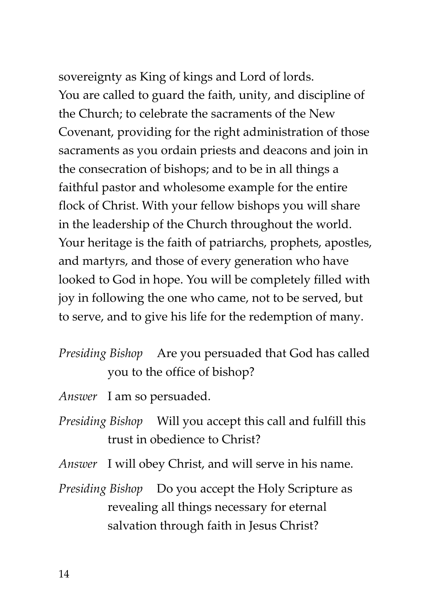sovereignty as King of kings and Lord of lords. You are called to guard the faith, unity, and discipline of the Church; to celebrate the sacraments of the New Covenant, providing for the right administration of those sacraments as you ordain priests and deacons and join in the consecration of bishops; and to be in all things a faithful pastor and wholesome example for the entire flock of Christ. With your fellow bishops you will share in the leadership of the Church throughout the world. Your heritage is the faith of patriarchs, prophets, apostles, and martyrs, and those of every generation who have looked to God in hope. You will be completely filled with joy in following the one who came, not to be served, but to serve, and to give his life for the redemption of many.

# *Presiding Bishop* Are you persuaded that God has called you to the office of bishop?

- *Answer* I am so persuaded.
- *Presiding Bishop* Will you accept this call and fulfill this trust in obedience to Christ?
- *Answer* I will obey Christ, and will serve in his name.
- *Presiding Bishop* Do you accept the Holy Scripture as revealing all things necessary for eternal salvation through faith in Jesus Christ?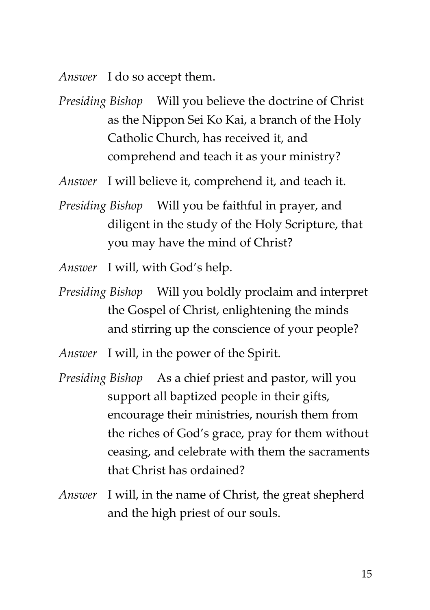*Answer* I do so accept them.

*Presiding Bishop* Will you believe the doctrine of Christ as the Nippon Sei Ko Kai, a branch of the Holy Catholic Church, has received it, and comprehend and teach it as your ministry?

*Answer* I will believe it, comprehend it, and teach it.

*Presiding Bishop* Will you be faithful in prayer, and diligent in the study of the Holy Scripture, that you may have the mind of Christ?

*Answer* I will, with God's help.

*Presiding Bishop* Will you boldly proclaim and interpret the Gospel of Christ, enlightening the minds and stirring up the conscience of your people?

*Answer* I will, in the power of the Spirit.

- *Presiding Bishop* As a chief priest and pastor, will you support all baptized people in their gifts, encourage their ministries, nourish them from the riches of God's grace, pray for them without ceasing, and celebrate with them the sacraments that Christ has ordained?
- *Answer* I will, in the name of Christ, the great shepherd and the high priest of our souls.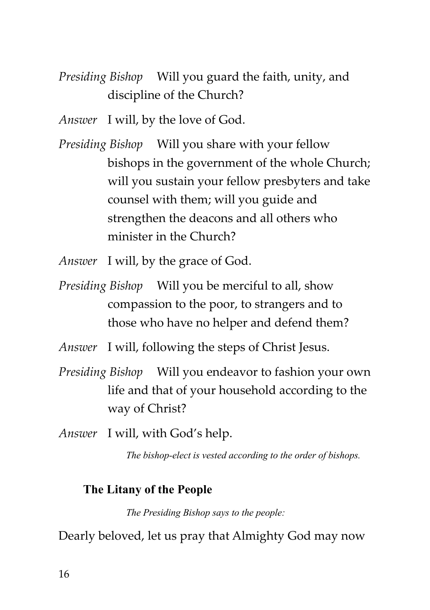- *Presiding Bishop* Will you guard the faith, unity, and discipline of the Church?
- *Answer* I will, by the love of God.
- *Presiding Bishop* Will you share with your fellow bishops in the government of the whole Church; will you sustain your fellow presbyters and take counsel with them; will you guide and strengthen the deacons and all others who minister in the Church?
- *Answer* I will, by the grace of God.
- *Presiding Bishop* Will you be merciful to all, show compassion to the poor, to strangers and to those who have no helper and defend them?
- *Answer* I will, following the steps of Christ Jesus.
- *Presiding Bishop* Will you endeavor to fashion your own life and that of your household according to the way of Christ?
- *Answer* I will, with God's help.

*The bishop-elect is vested according to the order of bishops.*

# **The Litany of the People**

*The Presiding Bishop says to the people:*

Dearly beloved, let us pray that Almighty God may now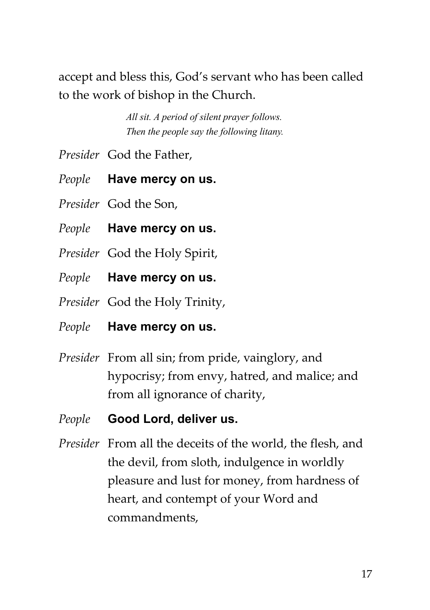accept and bless this, God's servant who has been called to the work of bishop in the Church.

> *All sit. A period of silent prayer follows. Then the people say the following litany.*

- *Presider* God the Father,
- *People* **Have mercy on us.**
- *Presider* God the Son,
- *People* **Have mercy on us.**
- *Presider* God the Holy Spirit,
- *People* **Have mercy on us.**
- *Presider* God the Holy Trinity,
- *People* **Have mercy on us.**
- *Presider* From all sin; from pride, vainglory, and hypocrisy; from envy, hatred, and malice; and from all ignorance of charity,
- *People* **Good Lord, deliver us.**
- *Presider* From all the deceits of the world, the flesh, and the devil, from sloth, indulgence in worldly pleasure and lust for money, from hardness of heart, and contempt of your Word and commandments,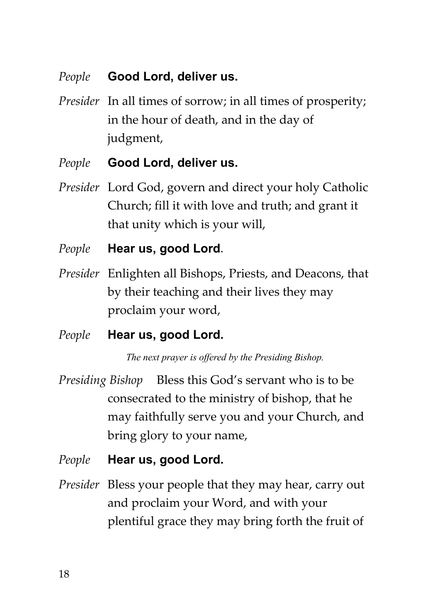# *People* **Good Lord, deliver us.**

- *Presider* In all times of sorrow; in all times of prosperity; in the hour of death, and in the day of judgment,
- *People* **Good Lord, deliver us.**
- *Presider* Lord God, govern and direct your holy Catholic Church; fill it with love and truth; and grant it that unity which is your will,
- *People* **Hear us, good Lord**.
- *Presider* Enlighten all Bishops, Priests, and Deacons, that by their teaching and their lives they may proclaim your word,
- *People* **Hear us, good Lord.**

*The next prayer is offered by the Presiding Bishop.*

- *Presiding Bishop* Bless this God's servant who is to be consecrated to the ministry of bishop, that he may faithfully serve you and your Church, and bring glory to your name,
- *People* **Hear us, good Lord.**
- *Presider* Bless your people that they may hear, carry out and proclaim your Word, and with your plentiful grace they may bring forth the fruit of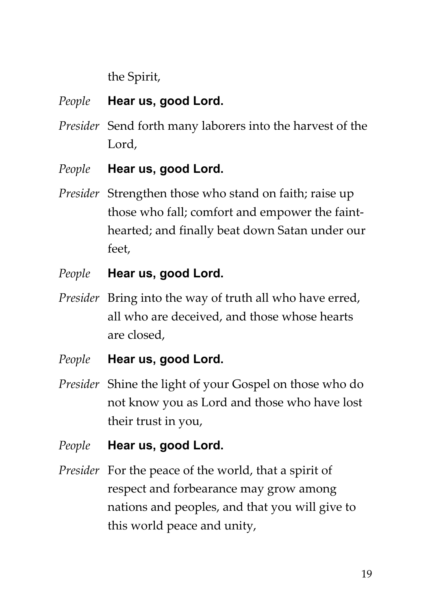the Spirit,

- *People* **Hear us, good Lord.**
- *Presider* Send forth many laborers into the harvest of the Lord,
- *People* **Hear us, good Lord.**
- *Presider* Strengthen those who stand on faith; raise up those who fall; comfort and empower the fainthearted; and finally beat down Satan under our feet,
- *People* **Hear us, good Lord.**
- *Presider* Bring into the way of truth all who have erred, all who are deceived, and those whose hearts are closed,
- *People* **Hear us, good Lord.**
- *Presider* Shine the light of your Gospel on those who do not know you as Lord and those who have lost their trust in you,
- *People* **Hear us, good Lord.**
- *Presider* For the peace of the world, that a spirit of respect and forbearance may grow among nations and peoples, and that you will give to this world peace and unity,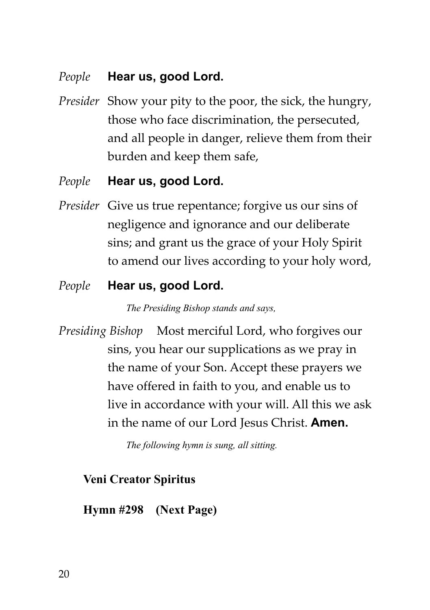### *People* **Hear us, good Lord.**

*Presider* Show your pity to the poor, the sick, the hungry, those who face discrimination, the persecuted, and all people in danger, relieve them from their burden and keep them safe,

### *People* **Hear us, good Lord.**

*Presider* Give us true repentance; forgive us our sins of negligence and ignorance and our deliberate sins; and grant us the grace of your Holy Spirit to amend our lives according to your holy word,

# *People* **Hear us, good Lord.**

*The Presiding Bishop stands and says,*

*Presiding Bishop* Most merciful Lord, who forgives our sins, you hear our supplications as we pray in the name of your Son. Accept these prayers we have offered in faith to you, and enable us to live in accordance with your will. All this we ask in the name of our Lord Jesus Christ. **Amen.**

*The following hymn is sung, all sitting.*

# **Veni Creator Spiritus**

# **Hymn #298 (Next Page)**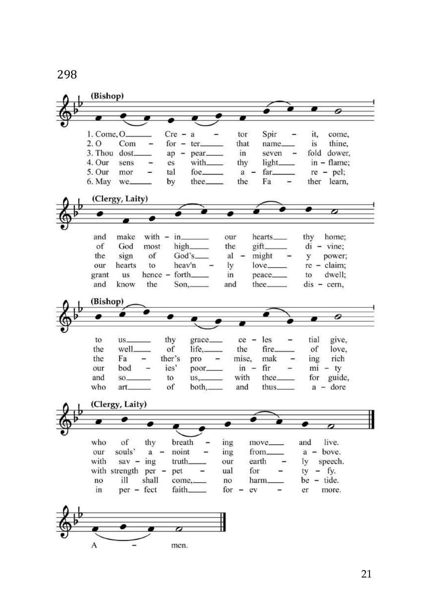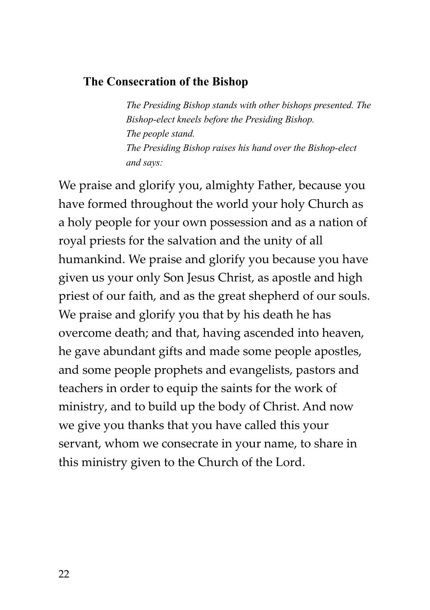#### **The Consecration of the Bishop**

*The Presiding Bishop stands with other bishops presented. The Bishop-elect kneels before the Presiding Bishop. The people stand. The Presiding Bishop raises his hand over the Bishop-elect and says:*

We praise and glorify you, almighty Father, because you have formed throughout the world your holy Church as a holy people for your own possession and as a nation of royal priests for the salvation and the unity of all humankind. We praise and glorify you because you have given us your only Son Jesus Christ, as apostle and high priest of our faith, and as the great shepherd of our souls. We praise and glorify you that by his death he has overcome death; and that, having ascended into heaven, he gave abundant gifts and made some people apostles, and some people prophets and evangelists, pastors and teachers in order to equip the saints for the work of ministry, and to build up the body of Christ. And now we give you thanks that you have called this your servant, whom we consecrate in your name, to share in this ministry given to the Church of the Lord.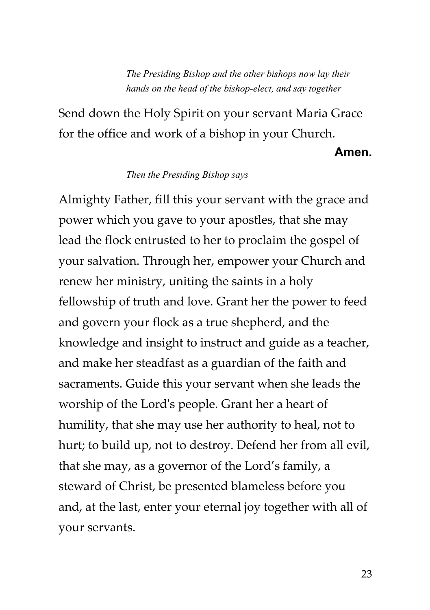*The Presiding Bishop and the other bishops now lay their hands on the head of the bishop-elect, and say together*

Send down the Holy Spirit on your servant Maria Grace for the office and work of a bishop in your Church.

**Amen.**

#### *Then the Presiding Bishop says*

Almighty Father, fill this your servant with the grace and power which you gave to your apostles, that she may lead the flock entrusted to her to proclaim the gospel of your salvation. Through her, empower your Church and renew her ministry, uniting the saints in a holy fellowship of truth and love. Grant her the power to feed and govern your flock as a true shepherd, and the knowledge and insight to instruct and guide as a teacher, and make her steadfast as a guardian of the faith and sacraments. Guide this your servant when she leads the worship of the Lord's people. Grant her a heart of humility, that she may use her authority to heal, not to hurt; to build up, not to destroy. Defend her from all evil, that she may, as a governor of the Lord's family, a steward of Christ, be presented blameless before you and, at the last, enter your eternal joy together with all of your servants.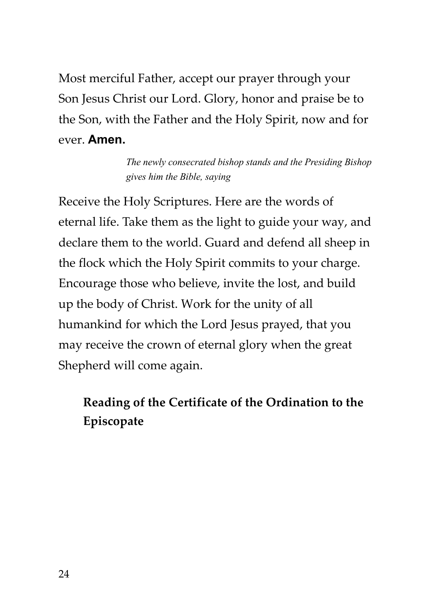Most merciful Father, accept our prayer through your Son Jesus Christ our Lord. Glory, honor and praise be to the Son, with the Father and the Holy Spirit, now and for ever. **Amen.**

> *The newly consecrated bishop stands and the Presiding Bishop gives him the Bible, saying*

Receive the Holy Scriptures. Here are the words of eternal life. Take them as the light to guide your way, and declare them to the world. Guard and defend all sheep in the flock which the Holy Spirit commits to your charge. Encourage those who believe, invite the lost, and build up the body of Christ. Work for the unity of all humankind for which the Lord Jesus prayed, that you may receive the crown of eternal glory when the great Shepherd will come again.

# **Reading of the Certificate of the Ordination to the Episcopate**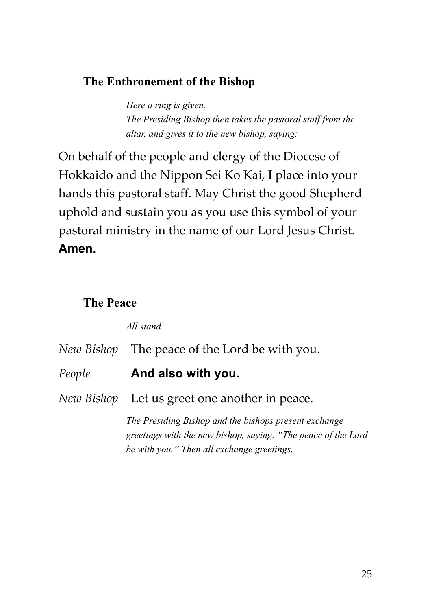### **The Enthronement of the Bishop**

*Here a ring is given. The Presiding Bishop then takes the pastoral staff from the altar, and gives it to the new bishop, saying:*

On behalf of the people and clergy of the Diocese of Hokkaido and the Nippon Sei Ko Kai, I place into your hands this pastoral staff. May Christ the good Shepherd uphold and sustain you as you use this symbol of your pastoral ministry in the name of our Lord Jesus Christ. **Amen.**

#### **The Peace**

*All stand.*

|        | New Bishop The peace of the Lord be with you.                                                                                                                         |
|--------|-----------------------------------------------------------------------------------------------------------------------------------------------------------------------|
| People | And also with you.                                                                                                                                                    |
|        | <i>New Bishop</i> Let us greet one another in peace.                                                                                                                  |
|        | The Presiding Bishop and the bishops present exchange<br>greetings with the new bishop, saying, "The peace of the Lord"<br>be with you." Then all exchange greetings. |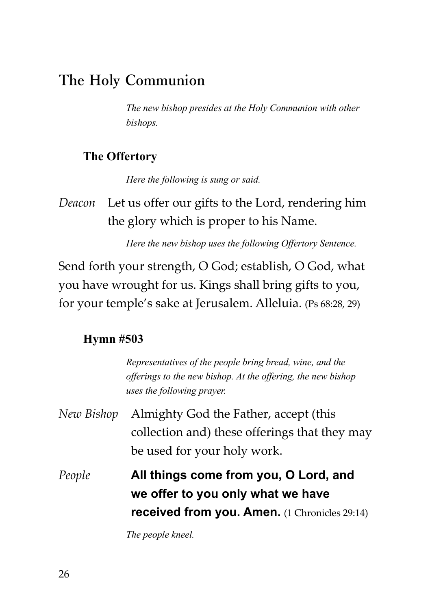# **The Holy Communion**

*The new bishop presides at the Holy Communion with other bishops.*

#### **The Offertory**

*Here the following is sung or said.*

*Deacon* Let us offer our gifts to the Lord, rendering him the glory which is proper to his Name.

*Here the new bishop uses the following Offertory Sentence.*

Send forth your strength, O God; establish, O God, what you have wrought for us. Kings shall bring gifts to you, for your temple's sake at Jerusalem. Alleluia. (Ps 68:28, 29)

#### **Hymn #503**

|            | Representatives of the people bring bread, wine, and the<br>offerings to the new bishop. At the offering, the new bishop<br>uses the following prayer. |
|------------|--------------------------------------------------------------------------------------------------------------------------------------------------------|
| New Bishop | Almighty God the Father, accept (this<br>collection and) these offerings that they may<br>be used for your holy work.                                  |
| People     | All things come from you, O Lord, and<br>we offer to you only what we have<br><b>received from you. Amen.</b> (1 Chronicles 29:14)                     |

*The people kneel.*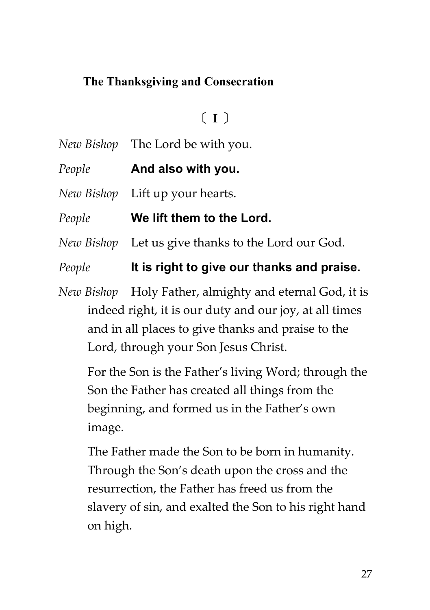# **The Thanksgiving and Consecration**

# **〔 I 〕**

- *New Bishop* The Lord be with you.
- *People* **And also with you.**
- *New Bishop* Lift up your hearts.
- *People* **We lift them to the Lord.**
- *New Bishop* Let us give thanks to the Lord our God.

*People* **It is right to give our thanks and praise.**

*New Bishop* Holy Father, almighty and eternal God, it is indeed right, it is our duty and our joy, at all times and in all places to give thanks and praise to the Lord, through your Son Jesus Christ.

For the Son is the Father's living Word; through the Son the Father has created all things from the beginning, and formed us in the Father's own image.

The Father made the Son to be born in humanity. Through the Son's death upon the cross and the resurrection, the Father has freed us from the slavery of sin, and exalted the Son to his right hand on high.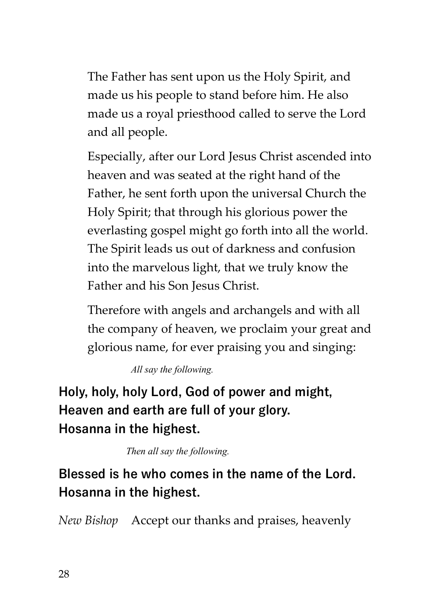The Father has sent upon us the Holy Spirit, and made us his people to stand before him. He also made us a royal priesthood called to serve the Lord and all people.

Especially, after our Lord Jesus Christ ascended into heaven and was seated at the right hand of the Father, he sent forth upon the universal Church the Holy Spirit; that through his glorious power the everlasting gospel might go forth into all the world. The Spirit leads us out of darkness and confusion into the marvelous light, that we truly know the Father and his Son Jesus Christ.

Therefore with angels and archangels and with all the company of heaven, we proclaim your great and glorious name, for ever praising you and singing:

*All say the following.*

**Holy, holy, holy Lord, God of power and might, Heaven and earth are full of your glory. Hosanna in the highest.**

*Then all say the following.* 

**Blessed is he who comes in the name of the Lord. Hosanna in the highest.**

*New Bishop* Accept our thanks and praises, heavenly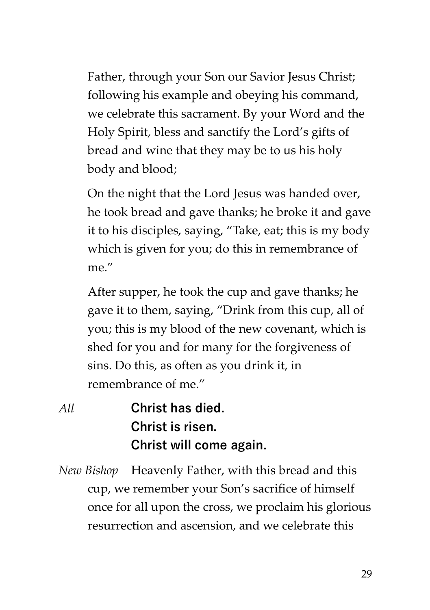Father, through your Son our Savior Jesus Christ; following his example and obeying his command, we celebrate this sacrament. By your Word and the Holy Spirit, bless and sanctify the Lord's gifts of bread and wine that they may be to us his holy body and blood;

On the night that the Lord Jesus was handed over, he took bread and gave thanks; he broke it and gave it to his disciples, saying, "Take, eat; this is my body which is given for you; do this in remembrance of me."

After supper, he took the cup and gave thanks; he gave it to them, saying, "Drink from this cup, all of you; this is my blood of the new covenant, which is shed for you and for many for the forgiveness of sins. Do this, as often as you drink it, in remembrance of me."

- *All* **Christ has died. Christ is risen. Christ will come again.**
- *New Bishop* Heavenly Father, with this bread and this cup, we remember your Son's sacrifice of himself once for all upon the cross, we proclaim his glorious resurrection and ascension, and we celebrate this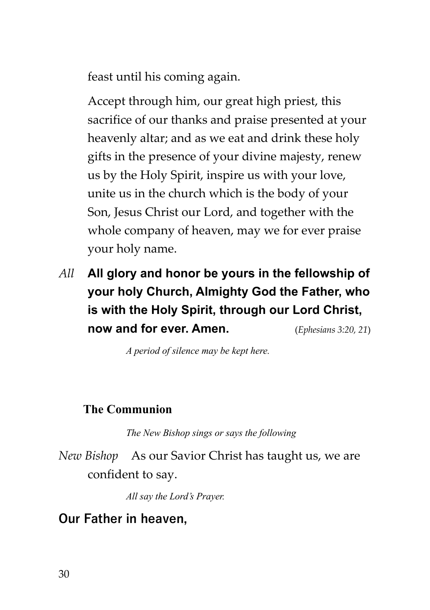feast until his coming again.

Accept through him, our great high priest, this sacrifice of our thanks and praise presented at your heavenly altar; and as we eat and drink these holy gifts in the presence of your divine majesty, renew us by the Holy Spirit, inspire us with your love, unite us in the church which is the body of your Son, Jesus Christ our Lord, and together with the whole company of heaven, may we for ever praise your holy name.

*All* **All glory and honor be yours in the fellowship of your holy Church, Almighty God the Father, who is with the Holy Spirit, through our Lord Christ, now and for ever. Amen.** (*Ephesians 3:20, 21*)

*A period of silence may be kept here.*

#### **The Communion**

*The New Bishop sings or says the following*

*New Bishop* As our Savior Christ has taught us, we are confident to say.

*All say the Lord's Prayer.*

# **Our Father in heaven,**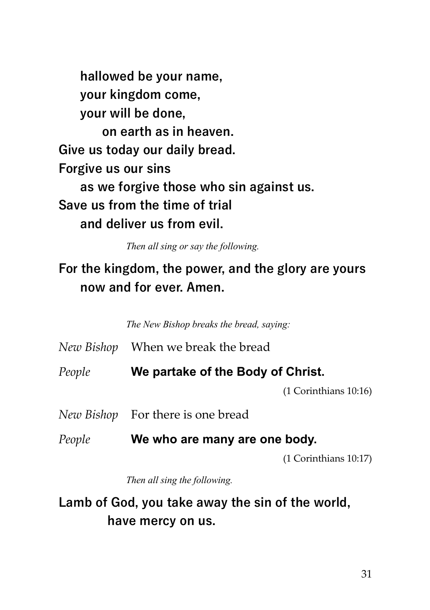**hallowed be your name, your kingdom come, your will be done, on earth as in heaven. Give us today our daily bread. Forgive us our sins as we forgive those who sin against us. Save us from the time of trial and deliver us from evil.**

*Then all sing or say the following.*

# **For the kingdom, the power, and the glory are yours now and for ever. Amen.**

*The New Bishop breaks the bread, saying:*

*New Bishop* When we break the bread

*People* **We partake of the Body of Christ.**

(1 Corinthians 10:16)

- *New Bishop* For there is one bread
- *People* **We who are many are one body.**

(1 Corinthians 10:17)

*Then all sing the following.*

**Lamb of God, you take away the sin of the world, have mercy on us.**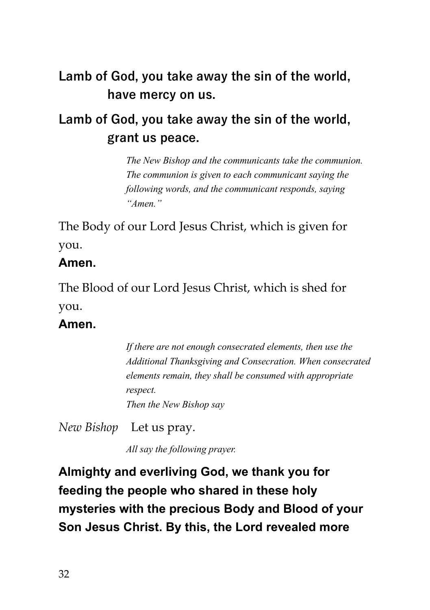# **Lamb of God, you take away the sin of the world, have mercy on us.**

# **Lamb of God, you take away the sin of the world, grant us peace.**

*The New Bishop and the communicants take the communion. The communion is given to each communicant saying the following words, and the communicant responds, saying "Amen."*

The Body of our Lord Jesus Christ, which is given for you.

# **Amen.**

The Blood of our Lord Jesus Christ, which is shed for you.

# **Amen.**

*If there are not enough consecrated elements, then use the Additional Thanksgiving and Consecration. When consecrated elements remain, they shall be consumed with appropriate respect. Then the New Bishop say*

*New Bishop* Let us pray.

*All say the following prayer.* 

**Almighty and everliving God, we thank you for feeding the people who shared in these holy mysteries with the precious Body and Blood of your Son Jesus Christ. By this, the Lord revealed more**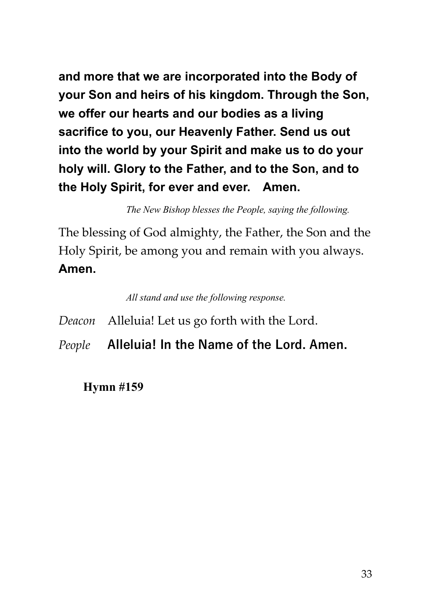**and more that we are incorporated into the Body of your Son and heirs of his kingdom. Through the Son, we offer our hearts and our bodies as a living sacrifice to you, our Heavenly Father. Send us out into the world by your Spirit and make us to do your holy will. Glory to the Father, and to the Son, and to the Holy Spirit, for ever and ever. Amen.**

*The New Bishop blesses the People, saying the following.*

The blessing of God almighty, the Father, the Son and the Holy Spirit, be among you and remain with you always. **Amen.**

*All stand and use the following response.*

*Deacon* Alleluia! Let us go forth with the Lord.

*People* **Alleluia! In the Name of the Lord. Amen.**

**Hymn #159**